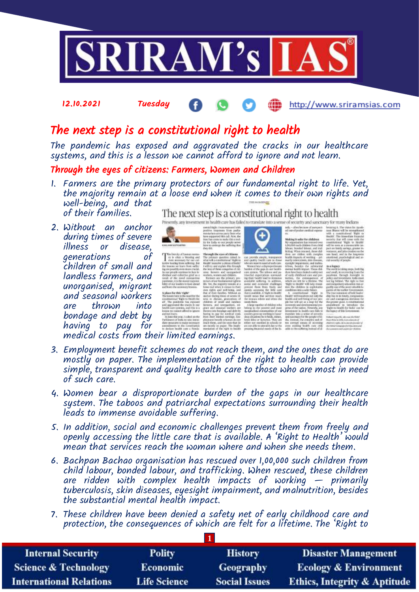

## 12.10.2021 Tuesday http://www.sriramsias.com

## The next step is a constitutional right to health

The pandemic has exposed and aggravated the cracks in our healthcare systems, and this is a lesson we cannot afford to ignore and not learn.

## Through the eyes of citizens: Farmers, Women and Children

- 1. Farmers are the primary protectors of our fundamental right to life. Yet, the majority remain at a loose end when it comes to their own rights and well-being, and that of their families. The next step is a constitutional right to health
- 2. Without an anchor during times of severe<br>illness or disease, illness or disease,<br>qenerations of generations children of small and landless farmers, and unorganised, migrant and seasonal workers are thrown into bondage and debt by having to pay for medical costs from their limited earnings.



The first of familia model<br>by it after a trusting and

Parliament of India to a<br>distribution to make<br>amordments to the Ta

Presently, any investment in health care has failed to translate into a sense of security and sanctuary for many Indians

- 3. Employment benefit schemes do not reach them, and the ones that do are mostly on paper. The implementation of the right to health can provide simple, transparent and quality health care to those who are most in need of such care.
- 4. Women bear a disproportionate burden of the gaps in our healthcare system. The taboos and patriarchal expectations surrounding their health leads to immense avoidable suffering.
- 5. In addition, social and economic challenges prevent them from freely and openly accessing the little care that is available. A 'Right to Health' would mean that services reach the woman where and when she needs them.
- 6. Bachpan Bachao organisation has rescued over 1,00,000 such children from child labour, bonded labour, and trafficking. When rescued, these children are ridden with complex health impacts of working  $-$  primarily tuberculosis, skin diseases, eyesight impairment, and malnutrition, besides the substantial mental health impact.
- 7. These children have been denied a safety net of early childhood care and protection, the consequences of which are felt for a lifetime. The 'Right to

| <b>Internal Security</b>        | <b>Polity</b>       | <b>History</b>       | <b>Disaster Management</b>              |
|---------------------------------|---------------------|----------------------|-----------------------------------------|
| <b>Science &amp; Technology</b> | <b>Economic</b>     | Geography            | <b>Ecology &amp; Environment</b>        |
| <b>International Relations</b>  | <b>Life Science</b> | <b>Social Issues</b> | <b>Ethics, Integrity &amp; Aptitude</b> |

 $$\rm cm$$  provide along<br>ks, management and quality bounds are no disserved and quality local<br>to an interaction of disperpendence of the gaps in our final<br>three cases  $$\rm R\,m$$  and  $$\rm R\,m$$  and<br> $$\rm R\,m$$  and  $$\rm R\,m$$